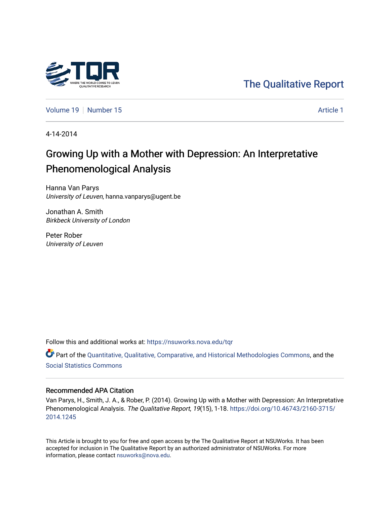

[The Qualitative Report](https://nsuworks.nova.edu/tqr) 

[Volume 19](https://nsuworks.nova.edu/tqr/vol19) [Number 15](https://nsuworks.nova.edu/tqr/vol19/iss15) [Article 1](https://nsuworks.nova.edu/tqr/vol19/iss15/1) Article 1

4-14-2014

## Growing Up with a Mother with Depression: An Interpretative Phenomenological Analysis

Hanna Van Parys University of Leuven, hanna.vanparys@ugent.be

Jonathan A. Smith Birkbeck University of London

Peter Rober University of Leuven

Follow this and additional works at: [https://nsuworks.nova.edu/tqr](https://nsuworks.nova.edu/tqr?utm_source=nsuworks.nova.edu%2Ftqr%2Fvol19%2Fiss15%2F1&utm_medium=PDF&utm_campaign=PDFCoverPages) 

Part of the [Quantitative, Qualitative, Comparative, and Historical Methodologies Commons,](http://network.bepress.com/hgg/discipline/423?utm_source=nsuworks.nova.edu%2Ftqr%2Fvol19%2Fiss15%2F1&utm_medium=PDF&utm_campaign=PDFCoverPages) and the [Social Statistics Commons](http://network.bepress.com/hgg/discipline/1275?utm_source=nsuworks.nova.edu%2Ftqr%2Fvol19%2Fiss15%2F1&utm_medium=PDF&utm_campaign=PDFCoverPages) 

#### Recommended APA Citation

Van Parys, H., Smith, J. A., & Rober, P. (2014). Growing Up with a Mother with Depression: An Interpretative Phenomenological Analysis. The Qualitative Report, 19(15), 1-18. [https://doi.org/10.46743/2160-3715/](https://doi.org/10.46743/2160-3715/2014.1245) [2014.1245](https://doi.org/10.46743/2160-3715/2014.1245) 

This Article is brought to you for free and open access by the The Qualitative Report at NSUWorks. It has been accepted for inclusion in The Qualitative Report by an authorized administrator of NSUWorks. For more information, please contact [nsuworks@nova.edu.](mailto:nsuworks@nova.edu)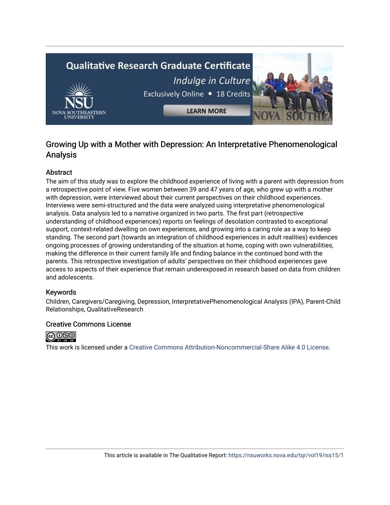# **Qualitative Research Graduate Certificate** Indulge in Culture Exclusively Online . 18 Credits **LEARN MORE**

### Growing Up with a Mother with Depression: An Interpretative Phenomenological Analysis

#### Abstract

The aim of this study was to explore the childhood experience of living with a parent with depression from a retrospective point of view. Five women between 39 and 47 years of age, who grew up with a mother with depression, were interviewed about their current perspectives on their childhood experiences. Interviews were semi-structured and the data were analyzed using interpretative phenomenological analysis. Data analysis led to a narrative organized in two parts. The first part (retrospective understanding of childhood experiences) reports on feelings of desolation contrasted to exceptional support, context-related dwelling on own experiences, and growing into a caring role as a way to keep standing. The second part (towards an integration of childhood experiences in adult realities) evidences ongoing processes of growing understanding of the situation at home, coping with own vulnerabilities, making the difference in their current family life and finding balance in the continued bond with the parents. This retrospective investigation of adults' perspectives on their childhood experiences gave access to aspects of their experience that remain underexposed in research based on data from children and adolescents.

#### Keywords

Children, Caregivers/Caregiving, Depression, InterpretativePhenomenological Analysis (IPA), Parent-Child Relationships, QualitativeResearch

#### Creative Commons License



This work is licensed under a [Creative Commons Attribution-Noncommercial-Share Alike 4.0 License](https://creativecommons.org/licenses/by-nc-sa/4.0/).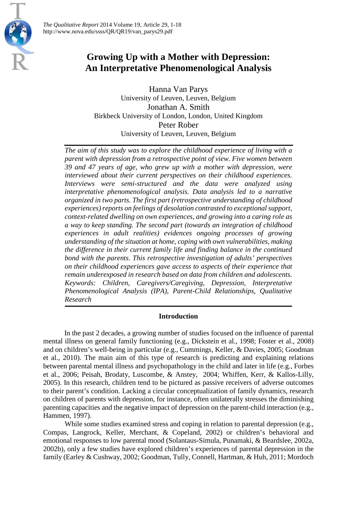

Hanna Van Parys University of Leuven, Leuven, Belgium Jonathan A. Smith Birkbeck University of London, London, United Kingdom Peter Rober University of Leuven, Leuven, Belgium

*The aim of this study was to explore the childhood experience of living with a parent with depression from a retrospective point of view. Five women between 39 and 47 years of age, who grew up with a mother with depression, were interviewed about their current perspectives on their childhood experiences. Interviews were semi-structured and the data were analyzed using interpretative phenomenological analysis. Data analysis led to a narrative organized in two parts. The first part (retrospective understanding of childhood experiences) reports on feelings of desolation contrasted to exceptional support, context-related dwelling on own experiences, and growing into a caring role as a way to keep standing. The second part (towards an integration of childhood experiences in adult realities) evidences ongoing processes of growing understanding of the situation at home, coping with own vulnerabilities, making the difference in their current family life and finding balance in the continued bond with the parents. This retrospective investigation of adults' perspectives on their childhood experiences gave access to aspects of their experience that remain underexposed in research based on data from children and adolescents. Keywords: Children, Caregivers/Caregiving, Depression, Interpretative Phenomenological Analysis (IPA), Parent-Child Relationships, Qualitative Research*

#### **Introduction**

In the past 2 decades, a growing number of studies focused on the influence of parental mental illness on general family functioning (e.g., Dickstein et al., 1998; Foster et al., 2008) and on children's well-being in particular (e.g., Cummings, Keller, & Davies, 2005; Goodman et al., 2010). The main aim of this type of research is predicting and explaining relations between parental mental illness and psychopathology in the child and later in life (e.g., Forbes et al., 2006; Peisah, Brodaty, Luscombe, & Anstey, 2004; Whiffen, Kerr, & Kallos-Lilly, 2005). In this research, children tend to be pictured as passive receivers of adverse outcomes to their parent's condition. Lacking a circular conceptualization of family dynamics, research on children of parents with depression, for instance, often unilaterally stresses the diminishing parenting capacities and the negative impact of depression on the parent-child interaction (e.g., Hammen, 1997).

While some studies examined stress and coping in relation to parental depression (e.g., Compas, Langrock, Keller, Merchant, & Copeland, 2002) or children's behavioral and emotional responses to low parental mood (Solantaus-Simula, Punamaki, & Beardslee, 2002a, 2002b), only a few studies have explored children's experiences of parental depression in the family (Earley & Cushway, 2002; Goodman, Tully, Connell, Hartman, & Huh, 2011; Mordoch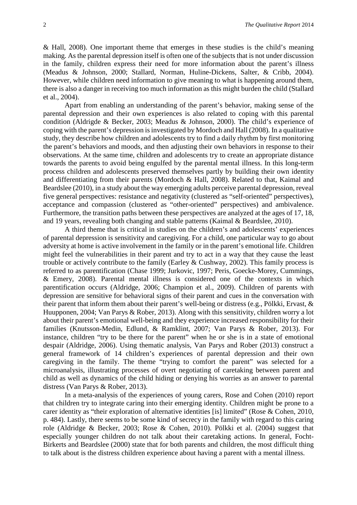& Hall, 2008). One important theme that emerges in these studies is the child's meaning making. As the parental depression itself is often one of the subjects that is not under discussion in the family, children express their need for more information about the parent's illness (Meadus & Johnson, 2000; Stallard, Norman, Huline-Dickens, Salter, & Cribb, 2004). However, while children need information to give meaning to what is happening around them, there is also a danger in receiving too much information as this might burden the child (Stallard et al., 2004).

Apart from enabling an understanding of the parent's behavior, making sense of the parental depression and their own experiences is also related to coping with this parental condition (Aldrigde & Becker, 2003; Meadus & Johnson, 2000). The child's experience of coping with the parent's depression is investigated by Mordoch and Hall (2008). In a qualitative study, they describe how children and adolescents try to find a daily rhythm by first monitoring the parent's behaviors and moods, and then adjusting their own behaviors in response to their observations. At the same time, children and adolescents try to create an appropriate distance towards the parents to avoid being engulfed by the parental mental illness. In this long-term process children and adolescents preserved themselves partly by building their own identity and differentiating from their parents (Mordoch & Hall, 2008). Related to that, Kaimal and Beardslee (2010), in a study about the way emerging adults perceive parental depression, reveal five general perspectives: resistance and negativity (clustered as "self-oriented" perspectives), acceptance and compassion (clustered as "other-oriented" perspectives) and ambivalence. Furthermore, the transition paths between these perspectives are analyzed at the ages of 17, 18, and 19 years, revealing both changing and stable patterns (Kaimal & Beardslee, 2010).

A third theme that is critical in studies on the children's and adolescents' experiences of parental depression is sensitivity and caregiving. For a child, one particular way to go about adversity at home is active involvement in the family or in the parent's emotional life. Children might feel the vulnerabilities in their parent and try to act in a way that they cause the least trouble or actively contribute to the family (Earley & Cushway, 2002). This family process is referred to as parentification (Chase 1999; Jurkovic, 1997; Peris, Goecke-Morey, Cummings, & Emery, 2008). Parental mental illness is considered one of the contexts in which parentification occurs (Aldridge, 2006; Champion et al., 2009). Children of parents with depression are sensitive for behavioral signs of their parent and cues in the conversation with their parent that inform them about their parent's well-being or distress (e.g., Pölkki, Ervast, & Huupponen, 2004; Van Parys & Rober, 2013). Along with this sensitivity, children worry a lot about their parent's emotional well-being and they experience increased responsibility for their families (Knutsson-Medin, Edlund, & Ramklint, 2007; Van Parys & Rober, 2013). For instance, children "try to be there for the parent" when he or she is in a state of emotional despair (Aldridge, 2006). Using thematic analysis, Van Parys and Rober (2013) construct a general framework of 14 children's experiences of parental depression and their own caregiving in the family. The theme "trying to comfort the parent" was selected for a microanalysis, illustrating processes of overt negotiating of caretaking between parent and child as well as dynamics of the child hiding or denying his worries as an answer to parental distress (Van Parys & Rober, 2013).

In a meta-analysis of the experiences of young carers, Rose and Cohen (2010) report that children try to integrate caring into their emerging identity. Children might be prone to a carer identity as "their exploration of alternative identities [is] limited" (Rose & Cohen, 2010, p. 484). Lastly, there seems to be some kind of secrecy in the family with regard to this caring role (Aldridge & Becker, 2003; Rose & Cohen, 2010). Pölkki et al. (2004) suggest that especially younger children do not talk about their caretaking actions. In general, Focht-Birkerts and Beardslee (2000) state that for both parents and children, the most difficult thing to talk about is the distress children experience about having a parent with a mental illness.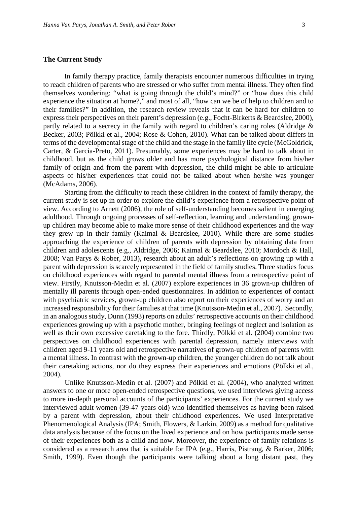#### **The Current Study**

In family therapy practice, family therapists encounter numerous difficulties in trying to reach children of parents who are stressed or who suffer from mental illness. They often find themselves wondering: "what is going through the child's mind?" or "how does this child experience the situation at home?," and most of all, "how can we be of help to children and to their families?" In addition, the research review reveals that it can be hard for children to express their perspectives on their parent's depression (e.g., Focht-Birkerts & Beardslee, 2000), partly related to a secrecy in the family with regard to children's caring roles (Aldridge & Becker, 2003; Pölkki et al., 2004; Rose & Cohen, 2010). What can be talked about differs in terms of the developmental stage of the child and the stage in the family life cycle (McGoldrick, Carter, & Garcia-Preto, 2011). Presumably, some experiences may be hard to talk about in childhood, but as the child grows older and has more psychological distance from his/her family of origin and from the parent with depression, the child might be able to articulate aspects of his/her experiences that could not be talked about when he/she was younger (McAdams, 2006).

Starting from the difficulty to reach these children in the context of family therapy, the current study is set up in order to explore the child's experience from a retrospective point of view. According to Arnett (2006), the role of self-understanding becomes salient in emerging adulthood. Through ongoing processes of self-reflection, learning and understanding, grownup children may become able to make more sense of their childhood experiences and the way they grew up in their family (Kaimal & Beardslee, 2010). While there are some studies approaching the experience of children of parents with depression by obtaining data from children and adolescents (e.g., Aldridge, 2006; Kaimal & Beardslee, 2010; Mordoch & Hall, 2008; Van Parys & Rober, 2013), research about an adult's reflections on growing up with a parent with depression is scarcely represented in the field of family studies. Three studies focus on childhood experiences with regard to parental mental illness from a retrospective point of view. Firstly, Knutsson-Medin et al. (2007) explore experiences in 36 grown-up children of mentally ill parents through open-ended questionnaires. In addition to experiences of contact with psychiatric services, grown-up children also report on their experiences of worry and an increased responsibility for their families at that time (Knutsson-Medin et al., 2007). Secondly, in an analogous study, Dunn (1993) reports on adults' retrospective accounts on their childhood experiences growing up with a psychotic mother, bringing feelings of neglect and isolation as well as their own excessive caretaking to the fore. Thirdly, Pölkki et al. (2004) combine two perspectives on childhood experiences with parental depression, namely interviews with children aged 9-11 years old and retrospective narratives of grown-up children of parents with a mental illness. In contrast with the grown-up children, the younger children do not talk about their caretaking actions, nor do they express their experiences and emotions (Pölkki et al., 2004).

Unlike Knutsson-Medin et al. (2007) and Pölkki et al. (2004), who analyzed written answers to one or more open-ended retrospective questions, we used interviews giving access to more in-depth personal accounts of the participants' experiences. For the current study we interviewed adult women (39-47 years old) who identified themselves as having been raised by a parent with depression, about their childhood experiences. We used Interpretative Phenomenological Analysis (IPA; Smith, Flowers, & Larkin, 2009) as a method for qualitative data analysis because of the focus on the lived experience and on how participants made sense of their experiences both as a child and now. Moreover, the experience of family relations is considered as a research area that is suitable for IPA (e.g., Harris, Pistrang, & Barker, 2006; Smith, 1999). Even though the participants were talking about a long distant past, they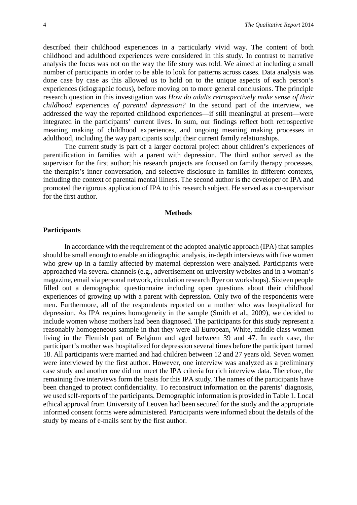described their childhood experiences in a particularly vivid way. The content of both childhood and adulthood experiences were considered in this study. In contrast to narrative analysis the focus was not on the way the life story was told. We aimed at including a small number of participants in order to be able to look for patterns across cases. Data analysis was done case by case as this allowed us to hold on to the unique aspects of each person's experiences (idiographic focus), before moving on to more general conclusions. The principle research question in this investigation was *How do adults retrospectively make sense of their childhood experiences of parental depression?* In the second part of the interview, we addressed the way the reported childhood experiences—if still meaningful at present—were integrated in the participants' current lives. In sum, our findings reflect both retrospective meaning making of childhood experiences, and ongoing meaning making processes in adulthood, including the way participants sculpt their current family relationships.

The current study is part of a larger doctoral project about children's experiences of parentification in families with a parent with depression. The third author served as the supervisor for the first author; his research projects are focused on family therapy processes, the therapist's inner conversation, and selective disclosure in families in different contexts, including the context of parental mental illness. The second author is the developer of IPA and promoted the rigorous application of IPA to this research subject. He served as a co-supervisor for the first author.

#### **Methods**

#### **Participants**

In accordance with the requirement of the adopted analytic approach (IPA) that samples should be small enough to enable an idiographic analysis, in-depth interviews with five women who grew up in a family affected by maternal depression were analyzed. Participants were approached via several channels (e.g., advertisement on university websites and in a woman's magazine, email via personal network, circulation research flyer on workshops). Sixteen people filled out a demographic questionnaire including open questions about their childhood experiences of growing up with a parent with depression. Only two of the respondents were men. Furthermore, all of the respondents reported on a mother who was hospitalized for depression. As IPA requires homogeneity in the sample (Smith et al., 2009), we decided to include women whose mothers had been diagnosed. The participants for this study represent a reasonably homogeneous sample in that they were all European, White, middle class women living in the Flemish part of Belgium and aged between 39 and 47. In each case, the participant's mother was hospitalized for depression several times before the participant turned 18. All participants were married and had children between 12 and 27 years old. Seven women were interviewed by the first author. However, one interview was analyzed as a preliminary case study and another one did not meet the IPA criteria for rich interview data. Therefore, the remaining five interviews form the basis for this IPA study. The names of the participants have been changed to protect confidentiality. To reconstruct information on the parents' diagnosis, we used self-reports of the participants. Demographic information is provided in Table 1. Local ethical approval from University of Leuven had been secured for the study and the appropriate informed consent forms were administered. Participants were informed about the details of the study by means of e-mails sent by the first author.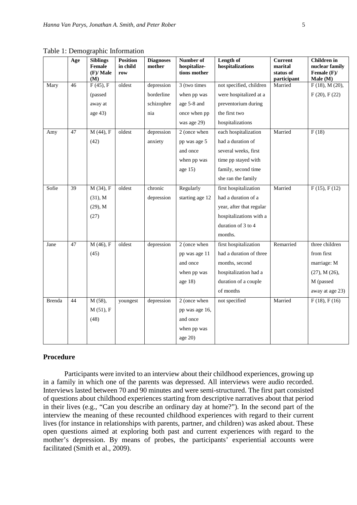|        | Age | <b>Siblings</b><br>Female<br>$(F)/$ Male<br>(M) | <b>Position</b><br>in child<br>row | <b>Diagnoses</b><br>mother | Number of<br>hospitalize-<br>tions mother | Length of<br>hospitalizations | <b>Current</b><br>marital<br>status of<br>participant | <b>Children</b> in<br>nuclear family<br>Female $(F)$ /<br>Male (M) |
|--------|-----|-------------------------------------------------|------------------------------------|----------------------------|-------------------------------------------|-------------------------------|-------------------------------------------------------|--------------------------------------------------------------------|
| Mary   | 46  | F(45), F                                        | oldest                             | depression                 | 3 (two times                              | not specified, children       | Married                                               | F(18), M(20),                                                      |
|        |     | (passed                                         |                                    | borderline                 | when pp was                               | were hospitalized at a        |                                                       | F(20), F(22)                                                       |
|        |     | away at                                         |                                    | schizophre                 | age 5-8 and                               | preventorium during           |                                                       |                                                                    |
|        |     | age 43)                                         |                                    | nia                        | once when pp                              | the first two                 |                                                       |                                                                    |
|        |     |                                                 |                                    |                            | was age 29)                               | hospitalizations              |                                                       |                                                                    |
| Amy    | 47  | M(44), F                                        | oldest                             | depression                 | 2 (once when                              | each hospitalization          | Married                                               | F(18)                                                              |
|        |     | (42)                                            |                                    | anxiety                    | pp was age 5                              | had a duration of             |                                                       |                                                                    |
|        |     |                                                 |                                    |                            | and once                                  | several weeks, first          |                                                       |                                                                    |
|        |     |                                                 |                                    |                            | when pp was                               | time pp stayed with           |                                                       |                                                                    |
|        |     |                                                 |                                    |                            | age $15)$                                 | family, second time           |                                                       |                                                                    |
|        |     |                                                 |                                    |                            |                                           | she ran the family            |                                                       |                                                                    |
| Sofie  | 39  | $\overline{M(34)}$ , F                          | oldest                             | chronic                    | Regularly                                 | first hospitalization         | Married                                               | F(15), F(12)                                                       |
|        |     | (31), M                                         |                                    | depression                 | starting age 12                           | had a duration of a           |                                                       |                                                                    |
|        |     | $(29)$ , M                                      |                                    |                            |                                           | year, after that regular      |                                                       |                                                                    |
|        |     | (27)                                            |                                    |                            |                                           | hospitalizations with a       |                                                       |                                                                    |
|        |     |                                                 |                                    |                            |                                           | duration of 3 to 4            |                                                       |                                                                    |
|        |     |                                                 |                                    |                            |                                           | months.                       |                                                       |                                                                    |
| Jane   | 47  | M (46), F                                       | oldest                             | depression                 | 2 (once when                              | first hospitalization         | Remarried                                             | three children                                                     |
|        |     | (45)                                            |                                    |                            | pp was age 11                             | had a duration of three       |                                                       | from first                                                         |
|        |     |                                                 |                                    |                            | and once                                  | months, second                |                                                       | marriage: M                                                        |
|        |     |                                                 |                                    |                            | when pp was                               | hospitalization had a         |                                                       | (27), M (26),                                                      |
|        |     |                                                 |                                    |                            | age $18)$                                 | duration of a couple          |                                                       | M (passed                                                          |
|        |     |                                                 |                                    |                            |                                           | of months                     |                                                       | away at age 23)                                                    |
| Brenda | 44  | M (58),                                         | youngest                           | depression                 | 2 (once when                              | not specified                 | Married                                               | F(18), F(16)                                                       |
|        |     | M(51), F                                        |                                    |                            | pp was age 16,                            |                               |                                                       |                                                                    |

Table 1: Demographic Information

#### **Procedure**

(48)

Participants were invited to an interview about their childhood experiences, growing up in a family in which one of the parents was depressed. All interviews were audio recorded. Interviews lasted between 70 and 90 minutes and were semi-structured. The first part consisted of questions about childhood experiences starting from descriptive narratives about that period in their lives (e.g., "Can you describe an ordinary day at home?"). In the second part of the interview the meaning of these recounted childhood experiences with regard to their current lives (for instance in relationships with parents, partner, and children) was asked about. These open questions aimed at exploring both past and current experiences with regard to the mother's depression. By means of probes, the participants' experiential accounts were facilitated (Smith et al., 2009).

and once when pp was age 20)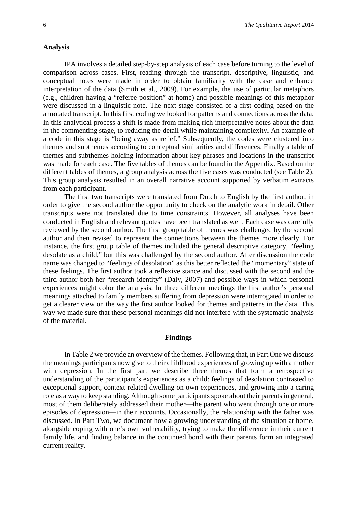#### **Analysis**

IPA involves a detailed step-by-step analysis of each case before turning to the level of comparison across cases. First, reading through the transcript, descriptive, linguistic, and conceptual notes were made in order to obtain familiarity with the case and enhance interpretation of the data (Smith et al., 2009). For example, the use of particular metaphors (e.g., children having a "referee position" at home) and possible meanings of this metaphor were discussed in a linguistic note. The next stage consisted of a first coding based on the annotated transcript. In this first coding we looked for patterns and connections across the data. In this analytical process a shift is made from making rich interpretative notes about the data in the commenting stage, to reducing the detail while maintaining complexity. An example of a code in this stage is "being away as relief." Subsequently, the codes were clustered into themes and subthemes according to conceptual similarities and differences. Finally a table of themes and subthemes holding information about key phrases and locations in the transcript was made for each case. The five tables of themes can be found in the Appendix. Based on the different tables of themes, a group analysis across the five cases was conducted (see Table 2). This group analysis resulted in an overall narrative account supported by verbatim extracts from each participant.

The first two transcripts were translated from Dutch to English by the first author, in order to give the second author the opportunity to check on the analytic work in detail. Other transcripts were not translated due to time constraints. However, all analyses have been conducted in English and relevant quotes have been translated as well. Each case was carefully reviewed by the second author. The first group table of themes was challenged by the second author and then revised to represent the connections between the themes more clearly. For instance, the first group table of themes included the general descriptive category, "feeling desolate as a child," but this was challenged by the second author. After discussion the code name was changed to "feelings of desolation" as this better reflected the "momentary" state of these feelings. The first author took a reflexive stance and discussed with the second and the third author both her "research identity" (Daly, 2007) and possible ways in which personal experiences might color the analysis. In three different meetings the first author's personal meanings attached to family members suffering from depression were interrogated in order to get a clearer view on the way the first author looked for themes and patterns in the data. This way we made sure that these personal meanings did not interfere with the systematic analysis of the material.

#### **Findings**

In Table 2 we provide an overview of the themes. Following that, in Part One we discuss the meanings participants now give to their childhood experiences of growing up with a mother with depression. In the first part we describe three themes that form a retrospective understanding of the participant's experiences as a child: feelings of desolation contrasted to exceptional support, context-related dwelling on own experiences, and growing into a caring role as a way to keep standing. Although some participants spoke about their parents in general, most of them deliberately addressed their mother—the parent who went through one or more episodes of depression—in their accounts. Occasionally, the relationship with the father was discussed. In Part Two, we document how a growing understanding of the situation at home, alongside coping with one's own vulnerability, trying to make the difference in their current family life, and finding balance in the continued bond with their parents form an integrated current reality.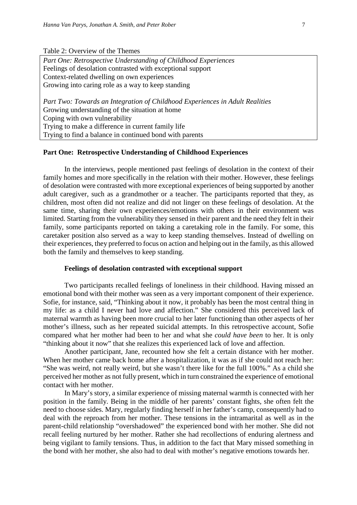Table 2: Overview of the Themes

*Part One: Retrospective Understanding of Childhood Experiences* Feelings of desolation contrasted with exceptional support Context-related dwelling on own experiences Growing into caring role as a way to keep standing

*Part Two: Towards an Integration of Childhood Experiences in Adult Realities* Growing understanding of the situation at home Coping with own vulnerability Trying to make a difference in current family life Trying to find a balance in continued bond with parents

#### **Part One: Retrospective Understanding of Childhood Experiences**

In the interviews, people mentioned past feelings of desolation in the context of their family homes and more specifically in the relation with their mother. However, these feelings of desolation were contrasted with more exceptional experiences of being supported by another adult caregiver, such as a grandmother or a teacher. The participants reported that they, as children, most often did not realize and did not linger on these feelings of desolation. At the same time, sharing their own experiences/emotions with others in their environment was limited. Starting from the vulnerability they sensed in their parent and the need they felt in their family, some participants reported on taking a caretaking role in the family. For some, this caretaker position also served as a way to keep standing themselves. Instead of dwelling on their experiences, they preferred to focus on action and helping out in the family, as this allowed both the family and themselves to keep standing.

#### **Feelings of desolation contrasted with exceptional support**

Two participants recalled feelings of loneliness in their childhood. Having missed an emotional bond with their mother was seen as a very important component of their experience. Sofie, for instance, said, "Thinking about it now, it probably has been the most central thing in my life: as a child I never had love and affection." She considered this perceived lack of maternal warmth as having been more crucial to her later functioning than other aspects of her mother's illness, such as her repeated suicidal attempts. In this retrospective account, Sofie compared what her mother had been to her and what she *could have been* to her. It is only "thinking about it now" that she realizes this experienced lack of love and affection.

Another participant, Jane, recounted how she felt a certain distance with her mother. When her mother came back home after a hospitalization, it was as if she could not reach her: "She was weird, not really weird, but she wasn't there like for the full 100%." As a child she perceived her mother as not fully present, which in turn constrained the experience of emotional contact with her mother.

In Mary's story, a similar experience of missing maternal warmth is connected with her position in the family. Being in the middle of her parents' constant fights, she often felt the need to choose sides. Mary, regularly finding herself in her father's camp, consequently had to deal with the reproach from her mother. These tensions in the intramarital as well as in the parent-child relationship "overshadowed" the experienced bond with her mother. She did not recall feeling nurtured by her mother. Rather she had recollections of enduring alertness and being vigilant to family tensions. Thus, in addition to the fact that Mary missed something in the bond with her mother, she also had to deal with mother's negative emotions towards her.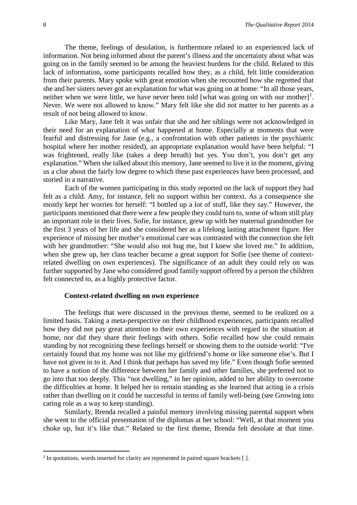The theme, feelings of desolation, is furthermore related to an experienced lack of information. Not being informed about the parent's illness and the uncertainty about what was going on in the family seemed to be among the heaviest burdens for the child. Related to this lack of information, some participants recalled how they, as a child, felt little consideration from their parents. Mary spoke with great emotion when she recounted how she regretted that she and her sisters never got an explanation for what was going on at home: "In all those years, neither when we were little, we have never been told [what was going on with our mother]<sup>[1](#page-9-0)</sup>. Never. We were not allowed to know." Mary felt like she did not matter to her parents as a result of not being allowed to know.

Like Mary, Jane felt it was unfair that she and her siblings were not acknowledged in their need for an explanation of what happened at home. Especially at moments that were fearful and distressing for Jane (e.g., a confrontation with other patients in the psychiatric hospital where her mother resided), an appropriate explanation would have been helpful: "I was frightened, really like (takes a deep breath) but yes. You don't, you don't get any explanation." When she talked about this memory, Jane seemed to live it in the moment, giving us a clue about the fairly low degree to which these past experiences have been processed, and storied in a narrative.

Each of the women participating in this study reported on the lack of support they had felt as a child. Amy, for instance, felt no support within her context. As a consequence she mostly kept her worries for herself: "I bottled up a lot of stuff, like they say." However, the participants mentioned that there were a few people they could turn to, some of whom still play an important role in their lives. Sofie, for instance, grew up with her maternal grandmother for the first 3 years of her life and she considered her as a lifelong lasting attachment figure. Her experience of missing her mother's emotional care was contrasted with the connection she felt with her grandmother: "She would also not hug me, but I knew she loved me." In addition, when she grew up, her class teacher became a great support for Sofie (see theme of contextrelated dwelling on own experiences). The significance of an adult they could rely on was further supported by Jane who considered good family support offered by a person the children felt connected to, as a highly protective factor.

#### **Context-related dwelling on own experience**

The feelings that were discussed in the previous theme, seemed to be realized on a limited basis. Taking a meta-perspective on their childhood experiences, participants recalled how they did not pay great attention to their own experiences with regard to the situation at home, nor did they share their feelings with others. Sofie recalled how she could remain standing by not recognizing these feelings herself or showing them to the outside world: "I've certainly found that my home was not like my girlfriend's home or like someone else's. But I have not given in to it. And I think that perhaps has saved my life." Even though Sofie seemed to have a notion of the difference between her family and other families, she preferred not to go into that too deeply. This "not dwelling," in her opinion, added to her ability to overcome the difficulties at home. It helped her to remain standing as she learned that acting in a crisis rather than dwelling on it could be successful in terms of family well-being (see Growing into caring role as a way to keep standing).

Similarly, Brenda recalled a painful memory involving missing parental support when she went to the official presentation of the diplomas at her school: "Well, at that moment you choke up, but it's like that." Related to the first theme, Brenda felt desolate at that time.

<u>.</u>

<span id="page-9-0"></span> $1$  In quotations, words inserted for clarity are represented in paired square brackets  $[$   $]$ .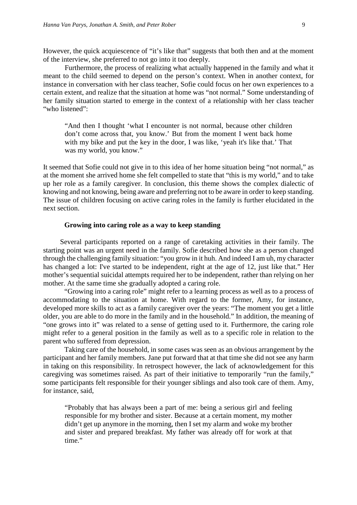However, the quick acquiescence of "it's like that" suggests that both then and at the moment of the interview, she preferred to not go into it too deeply.

Furthermore, the process of realizing what actually happened in the family and what it meant to the child seemed to depend on the person's context. When in another context, for instance in conversation with her class teacher, Sofie could focus on her own experiences to a certain extent, and realize that the situation at home was "not normal." Some understanding of her family situation started to emerge in the context of a relationship with her class teacher "who listened":

"And then I thought 'what I encounter is not normal, because other children don't come across that, you know.' But from the moment I went back home with my bike and put the key in the door, I was like, 'yeah it's like that.' That was my world, you know."

It seemed that Sofie could not give in to this idea of her home situation being "not normal," as at the moment she arrived home she felt compelled to state that "this is my world," and to take up her role as a family caregiver. In conclusion, this theme shows the complex dialectic of knowing and not knowing, being aware and preferring not to be aware in order to keep standing. The issue of children focusing on active caring roles in the family is further elucidated in the next section.

#### **Growing into caring role as a way to keep standing**

Several participants reported on a range of caretaking activities in their family. The starting point was an urgent need in the family. Sofie described how she as a person changed through the challenging family situation: "you grow in it huh. And indeed I am uh, my character has changed a lot: I've started to be independent, right at the age of 12, just like that." Her mother's sequential suicidal attempts required her to be independent, rather than relying on her mother. At the same time she gradually adopted a caring role.

"Growing into a caring role" might refer to a learning process as well as to a process of accommodating to the situation at home. With regard to the former, Amy, for instance, developed more skills to act as a family caregiver over the years: "The moment you get a little older, you are able to do more in the family and in the household." In addition, the meaning of "one grows into it" was related to a sense of getting used to it. Furthermore, the caring role might refer to a general position in the family as well as to a specific role in relation to the parent who suffered from depression.

Taking care of the household, in some cases was seen as an obvious arrangement by the participant and her family members. Jane put forward that at that time she did not see any harm in taking on this responsibility. In retrospect however, the lack of acknowledgement for this caregiving was sometimes raised. As part of their initiative to temporarily "run the family," some participants felt responsible for their younger siblings and also took care of them. Amy, for instance, said,

"Probably that has always been a part of me: being a serious girl and feeling responsible for my brother and sister. Because at a certain moment, my mother didn't get up anymore in the morning, then I set my alarm and woke my brother and sister and prepared breakfast. My father was already off for work at that time."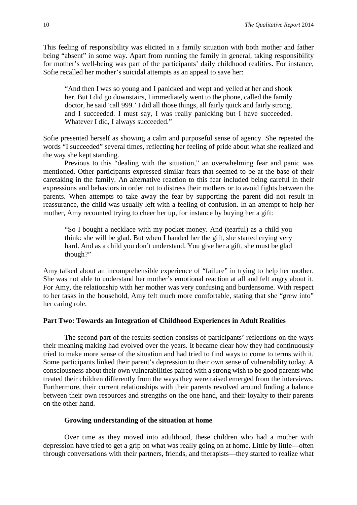This feeling of responsibility was elicited in a family situation with both mother and father being "absent" in some way. Apart from running the family in general, taking responsibility for mother's well-being was part of the participants' daily childhood realities. For instance, Sofie recalled her mother's suicidal attempts as an appeal to save her:

"And then I was so young and I panicked and wept and yelled at her and shook her. But I did go downstairs, I immediately went to the phone, called the family doctor, he said 'call 999.' I did all those things, all fairly quick and fairly strong, and I succeeded. I must say, I was really panicking but I have succeeded. Whatever I did, I always succeeded."

Sofie presented herself as showing a calm and purposeful sense of agency. She repeated the words "I succeeded" several times, reflecting her feeling of pride about what she realized and the way she kept standing.

Previous to this "dealing with the situation," an overwhelming fear and panic was mentioned. Other participants expressed similar fears that seemed to be at the base of their caretaking in the family. An alternative reaction to this fear included being careful in their expressions and behaviors in order not to distress their mothers or to avoid fights between the parents. When attempts to take away the fear by supporting the parent did not result in reassurance, the child was usually left with a feeling of confusion. In an attempt to help her mother, Amy recounted trying to cheer her up, for instance by buying her a gift:

"So I bought a necklace with my pocket money. And (tearful) as a child you think: she will be glad. But when I handed her the gift, she started crying very hard. And as a child you don't understand. You give her a gift, she must be glad though?"

Amy talked about an incomprehensible experience of "failure" in trying to help her mother. She was not able to understand her mother's emotional reaction at all and felt angry about it. For Amy, the relationship with her mother was very confusing and burdensome. With respect to her tasks in the household, Amy felt much more comfortable, stating that she "grew into" her caring role.

#### **Part Two: Towards an Integration of Childhood Experiences in Adult Realities**

The second part of the results section consists of participants' reflections on the ways their meaning making had evolved over the years. It became clear how they had continuously tried to make more sense of the situation and had tried to find ways to come to terms with it. Some participants linked their parent's depression to their own sense of vulnerability today. A consciousness about their own vulnerabilities paired with a strong wish to be good parents who treated their children differently from the ways they were raised emerged from the interviews. Furthermore, their current relationships with their parents revolved around finding a balance between their own resources and strengths on the one hand, and their loyalty to their parents on the other hand.

#### **Growing understanding of the situation at home**

Over time as they moved into adulthood, these children who had a mother with depression have tried to get a grip on what was really going on at home. Little by little—often through conversations with their partners, friends, and therapists—they started to realize what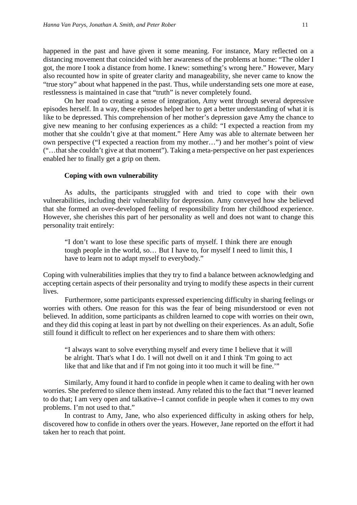happened in the past and have given it some meaning. For instance, Mary reflected on a distancing movement that coincided with her awareness of the problems at home: "The older I got, the more I took a distance from home. I knew: something's wrong here." However, Mary also recounted how in spite of greater clarity and manageability, she never came to know the "true story" about what happened in the past. Thus, while understanding sets one more at ease, restlessness is maintained in case that "truth" is never completely found.

On her road to creating a sense of integration, Amy went through several depressive episodes herself. In a way, these episodes helped her to get a better understanding of what it is like to be depressed. This comprehension of her mother's depression gave Amy the chance to give new meaning to her confusing experiences as a child: "I expected a reaction from my mother that she couldn't give at that moment." Here Amy was able to alternate between her own perspective ("I expected a reaction from my mother…") and her mother's point of view ("…that she couldn't give at that moment"). Taking a meta-perspective on her past experiences enabled her to finally get a grip on them.

#### **Coping with own vulnerability**

As adults, the participants struggled with and tried to cope with their own vulnerabilities, including their vulnerability for depression. Amy conveyed how she believed that she formed an over-developed feeling of responsibility from her childhood experience. However, she cherishes this part of her personality as well and does not want to change this personality trait entirely:

"I don't want to lose these specific parts of myself. I think there are enough tough people in the world, so… But I have to, for myself I need to limit this, I have to learn not to adapt myself to everybody."

Coping with vulnerabilities implies that they try to find a balance between acknowledging and accepting certain aspects of their personality and trying to modify these aspects in their current lives.

Furthermore, some participants expressed experiencing difficulty in sharing feelings or worries with others. One reason for this was the fear of being misunderstood or even not believed. In addition, some participants as children learned to cope with worries on their own, and they did this coping at least in part by not dwelling on their experiences. As an adult, Sofie still found it difficult to reflect on her experiences and to share them with others:

"I always want to solve everything myself and every time I believe that it will be alright. That's what I do. I will not dwell on it and I think 'I'm going to act like that and like that and if I'm not going into it too much it will be fine.'"

Similarly, Amy found it hard to confide in people when it came to dealing with her own worries. She preferred to silence them instead. Amy related this to the fact that "I never learned to do that; I am very open and talkative--I cannot confide in people when it comes to my own problems. I'm not used to that."

In contrast to Amy, Jane, who also experienced difficulty in asking others for help, discovered how to confide in others over the years. However, Jane reported on the effort it had taken her to reach that point.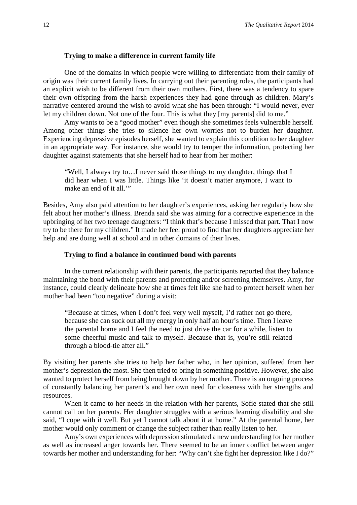#### **Trying to make a difference in current family life**

One of the domains in which people were willing to differentiate from their family of origin was their current family lives. In carrying out their parenting roles, the participants had an explicit wish to be different from their own mothers. First, there was a tendency to spare their own offspring from the harsh experiences they had gone through as children. Mary's narrative centered around the wish to avoid what she has been through: "I would never, ever let my children down. Not one of the four. This is what they [my parents] did to me."

Amy wants to be a "good mother" even though she sometimes feels vulnerable herself. Among other things she tries to silence her own worries not to burden her daughter. Experiencing depressive episodes herself, she wanted to explain this condition to her daughter in an appropriate way. For instance, she would try to temper the information, protecting her daughter against statements that she herself had to hear from her mother:

"Well, I always try to…I never said those things to my daughter, things that I did hear when I was little. Things like 'it doesn't matter anymore, I want to make an end of it all."

Besides, Amy also paid attention to her daughter's experiences, asking her regularly how she felt about her mother's illness. Brenda said she was aiming for a corrective experience in the upbringing of her two teenage daughters: "I think that's because I missed that part. That I now try to be there for my children." It made her feel proud to find that her daughters appreciate her help and are doing well at school and in other domains of their lives.

#### **Trying to find a balance in continued bond with parents**

In the current relationship with their parents, the participants reported that they balance maintaining the bond with their parents and protecting and/or screening themselves. Amy, for instance, could clearly delineate how she at times felt like she had to protect herself when her mother had been "too negative" during a visit:

"Because at times, when I don't feel very well myself, I'd rather not go there, because she can suck out all my energy in only half an hour's time. Then I leave the parental home and I feel the need to just drive the car for a while, listen to some cheerful music and talk to myself. Because that is, you're still related through a blood-tie after all."

By visiting her parents she tries to help her father who, in her opinion, suffered from her mother's depression the most. She then tried to bring in something positive. However, she also wanted to protect herself from being brought down by her mother. There is an ongoing process of constantly balancing her parent's and her own need for closeness with her strengths and resources.

When it came to her needs in the relation with her parents, Sofie stated that she still cannot call on her parents. Her daughter struggles with a serious learning disability and she said, "I cope with it well. But yet I cannot talk about it at home." At the parental home, her mother would only comment or change the subject rather than really listen to her.

Amy's own experiences with depression stimulated a new understanding for her mother as well as increased anger towards her. There seemed to be an inner conflict between anger towards her mother and understanding for her: "Why can't she fight her depression like I do?"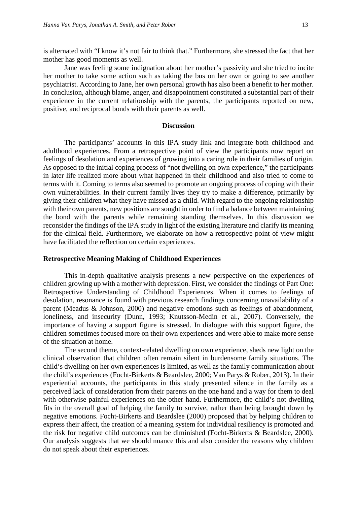is alternated with "I know it's not fair to think that." Furthermore, she stressed the fact that her mother has good moments as well.

Jane was feeling some indignation about her mother's passivity and she tried to incite her mother to take some action such as taking the bus on her own or going to see another psychiatrist. According to Jane, her own personal growth has also been a benefit to her mother. In conclusion, although blame, anger, and disappointment constituted a substantial part of their experience in the current relationship with the parents, the participants reported on new, positive, and reciprocal bonds with their parents as well.

#### **Discussion**

The participants' accounts in this IPA study link and integrate both childhood and adulthood experiences. From a retrospective point of view the participants now report on feelings of desolation and experiences of growing into a caring role in their families of origin. As opposed to the initial coping process of "not dwelling on own experience," the participants in later life realized more about what happened in their childhood and also tried to come to terms with it. Coming to terms also seemed to promote an ongoing process of coping with their own vulnerabilities. In their current family lives they try to make a difference, primarily by giving their children what they have missed as a child. With regard to the ongoing relationship with their own parents, new positions are sought in order to find a balance between maintaining the bond with the parents while remaining standing themselves. In this discussion we reconsider the findings of the IPA study in light of the existing literature and clarify its meaning for the clinical field. Furthermore, we elaborate on how a retrospective point of view might have facilitated the reflection on certain experiences.

#### **Retrospective Meaning Making of Childhood Experiences**

This in-depth qualitative analysis presents a new perspective on the experiences of children growing up with a mother with depression. First, we consider the findings of Part One: Retrospective Understanding of Childhood Experiences. When it comes to feelings of desolation, resonance is found with previous research findings concerning unavailability of a parent (Meadus & Johnson, 2000) and negative emotions such as feelings of abandonment, loneliness, and insecurity (Dunn, 1993; Knutsson-Medin et al., 2007). Conversely, the importance of having a support figure is stressed. In dialogue with this support figure, the children sometimes focused more on their own experiences and were able to make more sense of the situation at home.

The second theme, context-related dwelling on own experience, sheds new light on the clinical observation that children often remain silent in burdensome family situations. The child's dwelling on her own experiences is limited, as well as the family communication about the child's experiences (Focht-Birkerts & Beardslee, 2000; Van Parys & Rober, 2013). In their experiential accounts, the participants in this study presented silence in the family as a perceived lack of consideration from their parents on the one hand and a way for them to deal with otherwise painful experiences on the other hand. Furthermore, the child's not dwelling fits in the overall goal of helping the family to survive, rather than being brought down by negative emotions. Focht-Birkerts and Beardslee (2000) proposed that by helping children to express their affect, the creation of a meaning system for individual resiliency is promoted and the risk for negative child outcomes can be diminished (Focht-Birkerts & Beardslee, 2000). Our analysis suggests that we should nuance this and also consider the reasons why children do not speak about their experiences.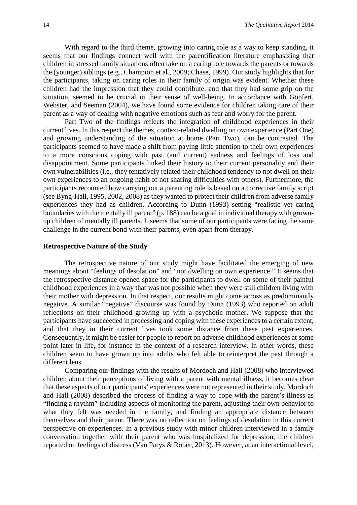With regard to the third theme, growing into caring role as a way to keep standing, it seems that our findings connect well with the parentification literature emphasizing that children in stressed family situations often take on a caring role towards the parents or towards the (younger) siblings (e.g., Champion et al., 2009; Chase, 1999). Our study highlights that for the participants, taking on caring roles in their family of origin was evident. Whether these children had the impression that they could contribute, and that they had some grip on the situation, seemed to be crucial in their sense of well-being. In accordance with Göpfert, Webster, and Seeman (2004), we have found some evidence for children taking care of their parent as a way of dealing with negative emotions such as fear and worry for the parent.

Part Two of the findings reflects the integration of childhood experiences in their current lives. In this respect the themes, context-related dwelling on own experience (Part One) and growing understanding of the situation at home (Part Two), can be contrasted. The participants seemed to have made a shift from paying little attention to their own experiences to a more conscious coping with past (and current) sadness and feelings of loss and disappointment. Some participants linked their history to their current personality and their own vulnerabilities (i.e., they tentatively related their childhood tendency to not dwell on their own experiences to an ongoing habit of not sharing difficulties with others). Furthermore, the participants recounted how carrying out a parenting role is based on a corrective family script (see Byng-Hall, 1995, 2002, 2008) as they wanted to protect their children from adverse family experiences they had as children. According to Dunn (1993) setting "realistic yet caring boundaries with the mentally ill parent" (p. 188) can be a goal in individual therapy with grownup children of mentally ill parents. It seems that some of our participants were facing the same challenge in the current bond with their parents, even apart from therapy.

#### **Retrospective Nature of the Study**

The retrospective nature of our study might have facilitated the emerging of new meanings about "feelings of desolation" and "not dwelling on own experience." It seems that the retrospective distance opened space for the participants to dwell on some of their painful childhood experiences in a way that was not possible when they were still children living with their mother with depression. In that respect, our results might come across as predominantly negative. A similar "negative" discourse was found by Dunn (1993) who reported on adult reflections on their childhood growing up with a psychotic mother. We suppose that the participants have succeeded in processing and coping with these experiences to a certain extent, and that they in their current lives took some distance from these past experiences. Consequently, it might be easier for people to report on adverse childhood experiences at some point later in life, for instance in the context of a research interview. In other words, these children seem to have grown up into adults who felt able to reinterpret the past through a different lens.

Comparing our findings with the results of Mordoch and Hall (2008) who interviewed children about their perceptions of living with a parent with mental illness, it becomes clear that these aspects of our participants' experiences were not represented in their study. Mordoch and Hall (2008) described the process of finding a way to cope with the parent's illness as "finding a rhythm" including aspects of monitoring the parent, adjusting their own behavior to what they felt was needed in the family, and finding an appropriate distance between themselves and their parent. There was no reflection on feelings of desolation in this current perspective on experiences. In a previous study with minor children interviewed in a family conversation together with their parent who was hospitalized for depression, the children reported on feelings of distress (Van Parys & Rober, 2013). However, at an interactional level,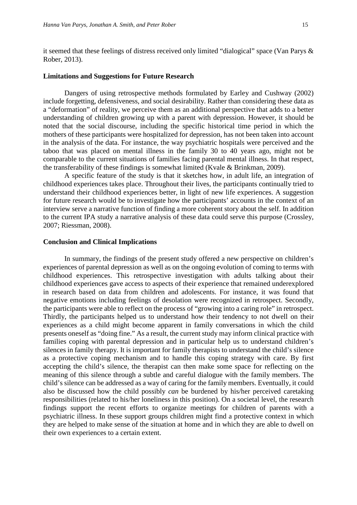it seemed that these feelings of distress received only limited "dialogical" space (Van Parys & Rober, 2013).

#### **Limitations and Suggestions for Future Research**

Dangers of using retrospective methods formulated by Earley and Cushway (2002) include forgetting, defensiveness, and social desirability. Rather than considering these data as a "deformation" of reality, we perceive them as an additional perspective that adds to a better understanding of children growing up with a parent with depression. However, it should be noted that the social discourse, including the specific historical time period in which the mothers of these participants were hospitalized for depression, has not been taken into account in the analysis of the data. For instance, the way psychiatric hospitals were perceived and the taboo that was placed on mental illness in the family 30 to 40 years ago, might not be comparable to the current situations of families facing parental mental illness. In that respect, the transferability of these findings is somewhat limited (Kvale & Brinkman, 2009).

A specific feature of the study is that it sketches how, in adult life, an integration of childhood experiences takes place. Throughout their lives, the participants continually tried to understand their childhood experiences better, in light of new life experiences. A suggestion for future research would be to investigate how the participants' accounts in the context of an interview serve a narrative function of finding a more coherent story about the self. In addition to the current IPA study a narrative analysis of these data could serve this purpose (Crossley, 2007; Riessman, 2008).

#### **Conclusion and Clinical Implications**

In summary, the findings of the present study offered a new perspective on children's experiences of parental depression as well as on the ongoing evolution of coming to terms with childhood experiences. This retrospective investigation with adults talking about their childhood experiences gave access to aspects of their experience that remained underexplored in research based on data from children and adolescents. For instance, it was found that negative emotions including feelings of desolation were recognized in retrospect. Secondly, the participants were able to reflect on the process of "growing into a caring role" in retrospect. Thirdly, the participants helped us to understand how their tendency to not dwell on their experiences as a child might become apparent in family conversations in which the child presents oneself as "doing fine." As a result, the current study may inform clinical practice with families coping with parental depression and in particular help us to understand children's silences in family therapy. It is important for family therapists to understand the child's silence as a protective coping mechanism and to handle this coping strategy with care. By first accepting the child's silence, the therapist can then make some space for reflecting on the meaning of this silence through a subtle and careful dialogue with the family members. The child's silence can be addressed as a way of caring for the family members. Eventually, it could also be discussed how the child possibly *can* be burdened by his/her perceived caretaking responsibilities (related to his/her loneliness in this position). On a societal level, the research findings support the recent efforts to organize meetings for children of parents with a psychiatric illness. In these support groups children might find a protective context in which they are helped to make sense of the situation at home and in which they are able to dwell on their own experiences to a certain extent.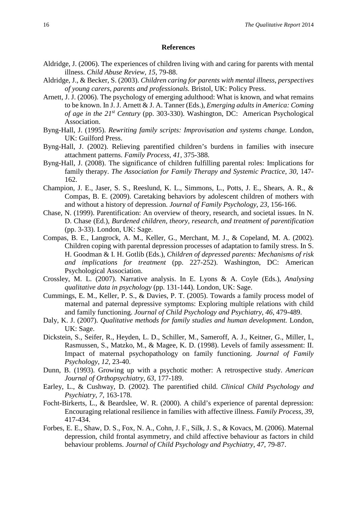#### **References**

- Aldridge, J. (2006). The experiences of children living with and caring for parents with mental illness. *Child Abuse Review, 15,* 79-88.
- Aldridge, J., & Becker, S. (2003). *Children caring for parents with mental illness, perspectives of young carers, parents and professionals.* Bristol, UK: Policy Press.
- Arnett, J. J. (2006). The psychology of emerging adulthood: What is known, and what remains to be known. In J. J. Arnett & J. A. Tanner (Eds.), *Emerging adults in America: Coming of age in the 21st Century* (pp. 303-330). Washington, DC: American Psychological Association.
- Byng-Hall, J. (1995). *Rewriting family scripts: Improvisation and systems change.* London, UK: Guilford Press.
- Byng-Hall, J. (2002). Relieving parentified children's burdens in families with insecure attachment patterns. *Family Process*, *41,* 375-388.
- Byng-Hall, J. (2008). The significance of children fulfilling parental roles: Implications for family therapy. *The Association for Family Therapy and Systemic Practice*, *30,* 147- 162.
- Champion, J. E., Jaser, S. S., Reeslund, K. L., Simmons, L., Potts, J. E., Shears, A. R., & Compas, B. E. (2009). Caretaking behaviors by adolescent children of mothers with and without a history of depression. *Journal of Family Psychology*, *23,* 156-166.
- Chase, N. (1999). Parentification: An overview of theory, research, and societal issues. In N. D. Chase (Ed.), *Burdened children, theory, research, and treatment of parentification* (pp. 3-33). London, UK: Sage.
- Compas, B. E., Langrock, A. M., Keller, G., Merchant, M. J., & Copeland, M. A. (2002). Children coping with parental depression processes of adaptation to family stress. In S. H. Goodman & I. H. Gotlib (Eds.), *Children of depressed parents: Mechanisms of risk and implications for treatment* (pp. 227-252). Washington, DC: American Psychological Association.
- Crossley, M. L. (2007). Narrative analysis. In E. Lyons & A. Coyle (Eds.), *Analysing qualitative data in psychology* (pp. 131-144). London, UK: Sage.
- Cummings, E. M., Keller, P. S., & Davies, P. T. (2005). Towards a family process model of maternal and paternal depressive symptoms: Exploring multiple relations with child and family functioning. *Journal of Child Psychology and Psychiatry*, *46,* 479-489.
- Daly, K. J. (2007). *Qualitative methods for family studies and human development.* London, UK: Sage.
- Dickstein, S., Seifer, R., Heyden, L. D., Schiller, M., Sameroff, A. J., Keitner, G., Miller, I., Rasmussen, S., Matzko, M., & Magee, K. D. (1998). Levels of family assessment: II. Impact of maternal psychopathology on family functioning. *Journal of Family Psychology*, *12,* 23-40.
- Dunn, B. (1993). Growing up with a psychotic mother: A retrospective study. *American Journal of Orthopsychiatry*, *63*, 177-189.
- Earley, L., & Cushway, D. (2002). The parentified child. *Clinical Child Psychology and Psychiatry*, *7,* 163-178.
- Focht-Birkerts, L., & Beardslee, W. R. (2000). A child's experience of parental depression: Encouraging relational resilience in families with affective illness. *Family Process*, *39,* 417-434.
- Forbes, E. E., Shaw, D. S., Fox, N. A., Cohn, J. F., Silk, J. S., & Kovacs, M. (2006). Maternal depression, child frontal asymmetry, and child affective behaviour as factors in child behaviour problems. *Journal of Child Psychology and Psychiatry*, *47*, 79-87.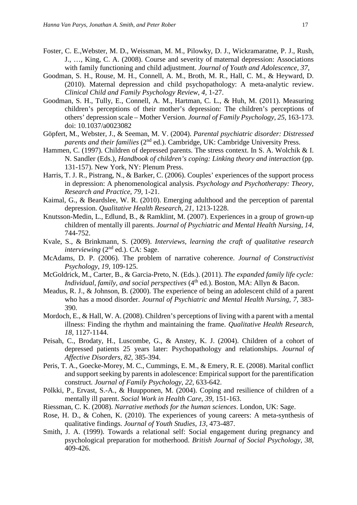- Foster, C. E.,Webster, M. D., Weissman, M. M., Pilowky, D. J., Wickramaratne, P. J., Rush, J., …, King, C. A. (2008). Course and severity of maternal depression: Associations with family functioning and child adjustment. *Journal of Youth and Adolescence, 37*,
- Goodman, S. H., Rouse, M. H., Connell, A. M., Broth, M. R., Hall, C. M., & Heyward, D. (2010). Maternal depression and child psychopathology: A meta-analytic review. *Clinical Child and Family Psychology Review*, *4,* 1-27.
- Goodman, S. H., Tully, E., Connell, A. M., Hartman, C. L., & Huh, M. (2011). Measuring children's perceptions of their mother's depression: The children's perceptions of others' depression scale – Mother Version. *Journal of Family Psychology*, *25,* 163-173. doi: 10.1037/a0023082
- Göpfert, M., Webster, J., & Seeman, M. V. (2004). *Parental psychiatric disorder: Distressed parents and their families (2<sup>nd</sup> ed.).* Cambridge, UK: Cambridge University Press.
- Hammen, C. (1997). Children of depressed parents. The stress context. In S. A. Wolchik & I. N. Sandler (Eds.), *Handbook of children's coping: Linking theory and interaction* (pp. 131-157). New York, NY: Plenum Press.
- Harris, T. J. R., Pistrang, N., & Barker, C. (2006). Couples' experiences of the support process in depression: A phenomenological analysis. *Psychology and Psychotherapy: Theory, Research and Practice*, *79,* 1-21.
- Kaimal, G., & Beardslee, W. R. (2010). Emerging adulthood and the perception of parental depression. *Qualitative Health Research*, *21,* 1213-1228.
- Knutsson-Medin, L., Edlund, B., & Ramklint, M. (2007). Experiences in a group of grown-up children of mentally ill parents. *Journal of Psychiatric and Mental Health Nursing*, *14,* 744-752.
- Kvale, S., & Brinkmann, S. (2009). *Interviews, learning the craft of qualitative research interviewing* (2<sup>nd</sup> ed.). CA: Sage.
- McAdams, D. P. (2006). The problem of narrative coherence. *Journal of Constructivist Psychology*, *19,* 109-125.
- McGoldrick, M., Carter, B., & Garcia-Preto, N. (Eds.). (2011). *The expanded family life cycle: Individual, family, and social perspectives* (4<sup>th</sup> ed.). Boston, MA: Allyn & Bacon.
- Meadus, R. J., & Johnson, B. (2000). The experience of being an adolescent child of a parent who has a mood disorder. *Journal of Psychiatric and Mental Health Nursing*, *7,* 383- 390.
- Mordoch, E., & Hall, W. A. (2008). Children's perceptions of living with a parent with a mental illness: Finding the rhythm and maintaining the frame. *Qualitative Health Research*, *18,* 1127-1144.
- Peisah, C., Brodaty, H., Luscombe, G., & Anstey, K. J. (2004). Children of a cohort of depressed patients 25 years later: Psychopathology and relationships. *Journal of Affective Disorders, 82,* 385-394.
- Peris, T. A., Goecke-Morey, M. C., Cummings, E. M., & Emery, R. E. (2008). Marital conflict and support seeking by parents in adolescence: Empirical support for the parentification construct*. Journal of Family Psychology*, *22,* 633-642.
- Pölkki, P., Ervast, S.-A., & Huupponen, M. (2004). Coping and resilience of children of a mentally ill parent. *Social Work in Health Care*, *39,* 151-163.
- Riessman, C. K. (2008). *Narrative methods for the human sciences*. London, UK: Sage.
- Rose, H. D., & Cohen, K. (2010). The experiences of young careers: A meta-synthesis of qualitative findings. *Journal of Youth Studies*, *13,* 473-487.
- Smith, J. A. (1999). Towards a relational self: Social engagement during pregnancy and psychological preparation for motherhood. *British Journal of Social Psychology, 38,* 409-426.